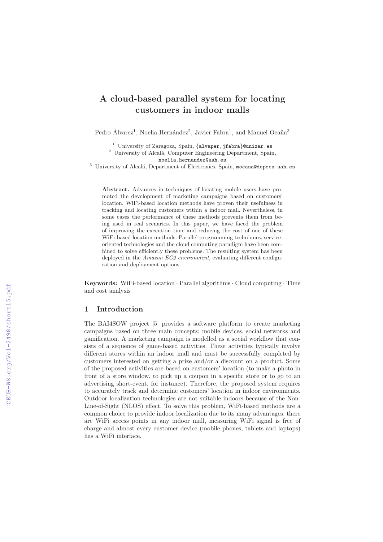# **A cloud-based parallel system for locating customers in indoor malls**

Pedro Álvarez<sup>1</sup>, Noelia Hernández<sup>2</sup>, Javier Fabra<sup>1</sup>, and Manuel Ocaña<sup>3</sup>

<sup>1</sup> University of Zaragoza, Spain,  $\{$ alvaper,jfabra $\}$ @unizar.es <sup>2</sup> University of Alcalá, Computer Engineering Department, Spain,

noelia.hernandez@uah.es

<sup>3</sup> University of Alcalá, Department of Electronics, Spain, mocana@depeca.uah.es

**Abstract.** Advances in techniques of locating mobile users have promoted the development of marketing campaigns based on customers' location. WiFi-based location methods have proven their usefulness in tracking and locating customers within a indoor mall. Nevertheless, in some cases the performance of these methods prevents them from being used in real scenarios. In this paper, we have faced the problem of improving the execution time and reducing the cost of one of these WiFi-based location methods. Parallel programming techniques, serviceoriented technologies and the cloud computing paradigm have been combined to solve efficiently these problems. The resulting system has been deployed in the *Amazon EC2 environment*, evaluating different configuration and deployment options.

**Keywords:** WiFi-based location · Parallel algorithms · Cloud computing · Time and cost analysis

# **1 Introduction**

The BAI4SOW project [5] provides a software platform to create marketing campaigns based on three main concepts: mobile devices, social networks and gamification. A marketing campaign is modelled as a social workflow that consists of a sequence of game-based activities. These activities typically involve different stores within an indoor mall and must be successfully completed by customers interested on getting a prize and/or a discount on a product. Some of the proposed activities are based on customers' location (to make a photo in front of a store window, to pick up a coupon in a specific store or to go to an advertising short-event, for instance). Therefore, the proposed system requires to accurately track and determine customers' location in indoor environments. Outdoor localization technologies are not suitable indoors because of the Non-Line-of-Sight (NLOS) effect. To solve this problem, WiFi-based methods are a common choice to provide indoor localization due to its many advantages: there are WiFi access points in any indoor mall, measuring WiFi signal is free of charge and almost every customer device (mobile phones, tablets and laptops) has a WiFi interface.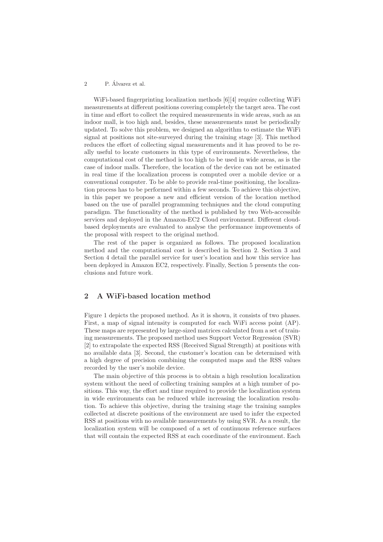### 2 P. Álvarez et al.

WiFi-based fingerprinting localization methods [6][4] require collecting WiFi measurements at different positions covering completely the target area. The cost in time and effort to collect the required measurements in wide areas, such as an indoor mall, is too high and, besides, these measurements must be periodically updated. To solve this problem, we designed an algorithm to estimate the WiFi signal at positions not site-surveyed during the training stage [3]. This method reduces the effort of collecting signal measurements and it has proved to be really useful to locate customers in this type of environments. Nevertheless, the computational cost of the method is too high to be used in wide areas, as is the case of indoor malls. Therefore, the location of the device can not be estimated in real time if the localization process is computed over a mobile device or a conventional computer. To be able to provide real-time positioning, the localization process has to be performed within a few seconds. To achieve this objective, in this paper we propose a new and efficient version of the location method based on the use of parallel programming techniques and the cloud computing paradigm. The functionality of the method is published by two Web-accessible services and deployed in the Amazon-EC2 Cloud environment. Different cloudbased deployments are evaluated to analyse the performance improvements of the proposal with respect to the original method.

The rest of the paper is organized as follows. The proposed localization method and the computational cost is described in Section 2. Section 3 and Section 4 detail the parallel service for user's location and how this service has been deployed in Amazon EC2, respectively. Finally, Section 5 presents the conclusions and future work.

# **2 A WiFi-based location method**

Figure 1 depicts the proposed method. As it is shown, it consists of two phases. First, a map of signal intensity is computed for each WiFi access point (AP). These maps are represented by large-sized matrices calculated from a set of training measurements. The proposed method uses Support Vector Regression (SVR) [2] to extrapolate the expected RSS (Received Signal Strength) at positions with no available data [3]. Second, the customer's location can be determined with a high degree of precision combining the computed maps and the RSS values recorded by the user's mobile device.

The main objective of this process is to obtain a high resolution localization system without the need of collecting training samples at a high number of positions. This way, the effort and time required to provide the localization system in wide environments can be reduced while increasing the localization resolution. To achieve this objective, during the training stage the training samples collected at discrete positions of the environment are used to infer the expected RSS at positions with no available measurements by using SVR. As a result, the localization system will be composed of a set of continuous reference surfaces that will contain the expected RSS at each coordinate of the environment. Each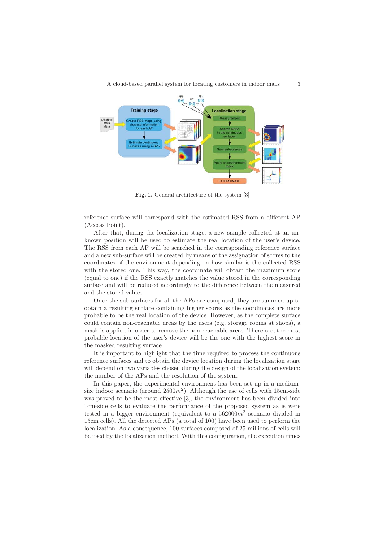

**Fig. 1.** General architecture of the system [3]

reference surface will correspond with the estimated RSS from a different AP (Access Point).

After that, during the localization stage, a new sample collected at an unknown position will be used to estimate the real location of the user's device. The RSS from each AP will be searched in the corresponding reference surface and a new sub-surface will be created by means of the assignation of scores to the coordinates of the environment depending on how similar is the collected RSS with the stored one. This way, the coordinate will obtain the maximum score (equal to one) if the RSS exactly matches the value stored in the corresponding surface and will be reduced accordingly to the difference between the measured and the stored values.

Once the sub-surfaces for all the APs are computed, they are summed up to obtain a resulting surface containing higher scores as the coordinates are more probable to be the real location of the device. However, as the complete surface could contain non-reachable areas by the users (e.g. storage rooms at shops), a mask is applied in order to remove the non-reachable areas. Therefore, the most probable location of the user's device will be the one with the highest score in the masked resulting surface.

It is important to highlight that the time required to process the continuous reference surfaces and to obtain the device location during the localization stage will depend on two variables chosen during the design of the localization system: the number of the APs and the resolution of the system.

In this paper, the experimental environment has been set up in a mediumsize indoor scenario (around  $2500m^2$ ). Although the use of cells with 15cm-side was proved to be the most effective [3], the environment has been divided into 1cm-side cells to evaluate the performance of the proposed system as is were tested in a bigger environment (equivalent to a  $562000m^2$  scenario divided in 15cm cells). All the detected APs (a total of 100) have been used to perform the localization. As a consequence, 100 surfaces composed of 25 millions of cells will be used by the localization method. With this configuration, the execution times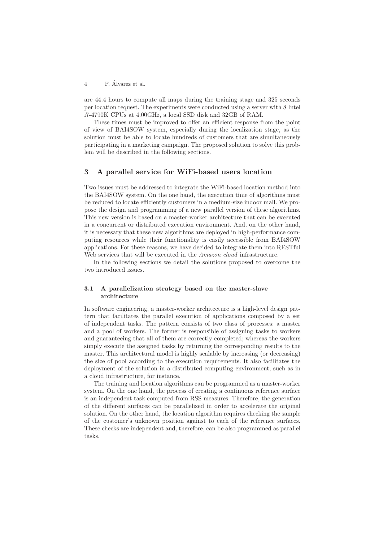4 P. Alvarez et al. ´

are 44.4 hours to compute all maps during the training stage and 325 seconds per location request. The experiments were conducted using a server with 8 Intel i7-4790K CPUs at 4.00GHz, a local SSD disk and 32GB of RAM.

These times must be improved to offer an efficient response from the point of view of BAI4SOW system, especially during the localization stage, as the solution must be able to locate hundreds of customers that are simultaneously participating in a marketing campaign. The proposed solution to solve this problem will be described in the following sections.

# **3 A parallel service for WiFi-based users location**

Two issues must be addressed to integrate the WiFi-based location method into the BAI4SOW system. On the one hand, the execution time of algorithms must be reduced to locate efficiently customers in a medium-size indoor mall. We propose the design and programming of a new parallel version of these algorithms. This new version is based on a master-worker architecture that can be executed in a concurrent or distributed execution environment. And, on the other hand, it is necessary that these new algorithms are deployed in high-performance computing resources while their functionality is easily accessible from BAI4SOW applications. For these reasons, we have decided to integrate them into RESTful Web services that will be executed in the *Amazon cloud* infrastructure.

In the following sections we detail the solutions proposed to overcome the two introduced issues.

### **3.1 A parallelization strategy based on the master-slave architecture**

In software engineering, a master-worker architecture is a high-level design pattern that facilitates the parallel execution of applications composed by a set of independent tasks. The pattern consists of two class of processes: a master and a pool of workers. The former is responsible of assigning tasks to workers and guaranteeing that all of them are correctly completed; whereas the workers simply execute the assigned tasks by returning the corresponding results to the master. This architectural model is highly scalable by increasing (or decreasing) the size of pool according to the execution requirements. It also facilitates the deployment of the solution in a distributed computing environment, such as in a cloud infrastructure, for instance.

The training and location algorithms can be programmed as a master-worker system. On the one hand, the process of creating a continuous reference surface is an independent task computed from RSS measures. Therefore, the generation of the different surfaces can be parallelized in order to accelerate the original solution. On the other hand, the location algorithm requires checking the sample of the customer's unknown position against to each of the reference surfaces. These checks are independent and, therefore, can be also programmed as parallel tasks.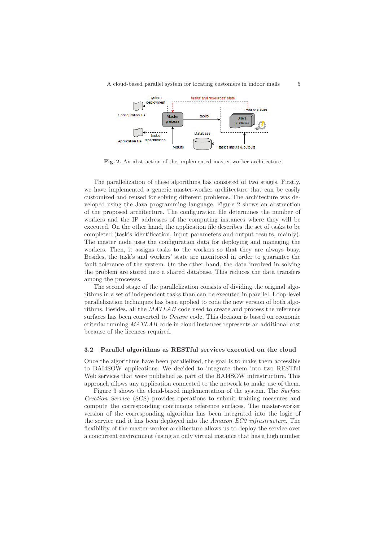

**Fig. 2.** An abstraction of the implemented master-worker architecture

The parallelization of these algorithms has consisted of two stages. Firstly, we have implemented a generic master-worker architecture that can be easily customized and reused for solving different problems. The architecture was developed using the Java programming language. Figure 2 shows an abstraction of the proposed architecture. The configuration file determines the number of workers and the IP addresses of the computing instances where they will be executed. On the other hand, the application file describes the set of tasks to be completed (task's identification, input parameters and output results, mainly). The master node uses the configuration data for deploying and managing the workers. Then, it assigns tasks to the workers so that they are always busy. Besides, the task's and workers' state are monitored in order to guarantee the fault tolerance of the system. On the other hand, the data involved in solving the problem are stored into a shared database. This reduces the data transfers among the processes.

The second stage of the parallelization consists of dividing the original algorithms in a set of independent tasks than can be executed in parallel. Loop-level parallelization techniques has been applied to code the new version of both algorithms. Besides, all the MATLAB code used to create and process the reference surfaces has been converted to Octave code. This decision is based on economic criteria: running MATLAB code in cloud instances represents an additional cost because of the licences required.

#### **3.2 Parallel algorithms as RESTful services executed on the cloud**

Once the algorithms have been parallelized, the goal is to make them accessible to BAI4SOW applications. We decided to integrate them into two RESTful Web services that were published as part of the BAI4SOW infrastructure. This approach allows any application connected to the network to make use of them.

Figure 3 shows the cloud-based implementation of the system. The Surface Creation Service (SCS) provides operations to submit training measures and compute the corresponding continuous reference surfaces. The master-worker version of the corresponding algorithm has been integrated into the logic of the service and it has been deployed into the *Amazon EC2 infrastructure*. The flexibility of the master-worker architecture allows us to deploy the service over a concurrent environment (using an only virtual instance that has a high number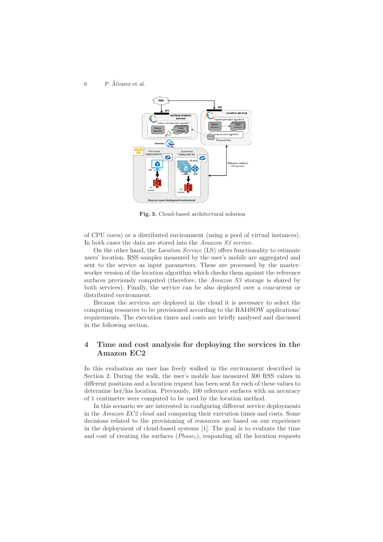#### $6$  P. Álvarez et al.



**Fig. 3.** Cloud-based architectural solution

of CPU cores) or a distributed environment (using a pool of virtual instances). In both cases the data are stored into the Amazon S3 service.

On the other hand, the Location Service (LS) offers functionality to estimate users' location. RSS samples measured by the user's mobile are aggregated and sent to the service as input parameters. These are processed by the masterworker version of the location algorithm which checks them against the reference surfaces previously computed (therefore, the *Amazon S3* storage is shared by both services). Finally, the service can be also deployed over a concurrent or distributed environment.

Because the services are deployed in the cloud it is necessary to select the computing resources to be provisioned according to the BAI4SOW applications' requirements. The execution times and costs are briefly analysed and discussed in the following section.

# **4 Time and cost analysis for deploying the services in the Amazon EC2**

In this evaluation an user has freely walked in the environment described in Section 2. During the walk, the user's mobile has measured 300 RSS values in different positions and a location request has been sent for each of these values to determine her/his location. Previously, 100 reference surfaces with an accuracy of 1 centimetre were computed to be used by the location method.

In this scenario we are interested in configuring different service deployments in the Amazon EC2 cloud and comparing their execution times and costs. Some decisions related to the provisioning of resources are based on our experience in the deployment of cloud-based systems [1]. The goal is to evaluate the time and cost of creating the surfaces  $(Phase<sub>1</sub>)$ , responding all the location requests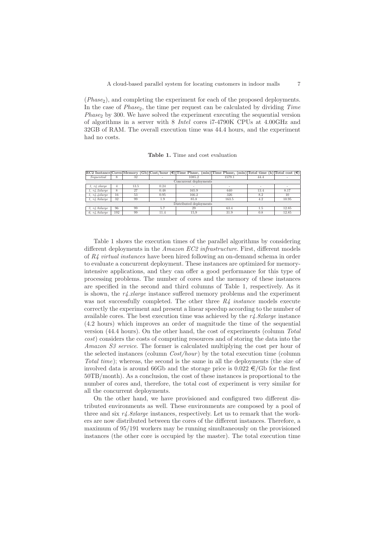$(Phase<sub>2</sub>)$ , and completing the experiment for each of the proposed deployments. In the case of  $Phase_2$ , the time per request can be calculated by dividing  $Time$  $Phase<sub>2</sub>$  by 300. We have solved the experiment executing the sequential version of algorithms in a server with 8 Intel cores i7-4790K CPUs at 4.00GHz and 32GB of RAM. The overall execution time was 44.4 hours, and the experiment had no costs.

**Table 1.** Time and cost evaluation

|                         |     |      |      |        | $ EC2 \text{ Instante}  \text{Cores}  \text{Memory } (Gb)  \text{Cost/hour } (\epsilon)  \text{Time Phase}_1 \text{ (min)}   \text{Time Phase}_2 \text{ (min)}   \text{Total time } (h)  \text{Total cost } (\epsilon)$ |      |       |
|-------------------------|-----|------|------|--------|-------------------------------------------------------------------------------------------------------------------------------------------------------------------------------------------------------------------------|------|-------|
| Sequential              | 8   | 32   |      | 1085.2 | 1579.1                                                                                                                                                                                                                  | 44.4 |       |
| Concurrent deployments  |     |      |      |        |                                                                                                                                                                                                                         |      |       |
| 1. r4. x large          | 4   | 13.5 | 0.24 | ۰      | ۰                                                                                                                                                                                                                       |      | ۰     |
| 1. r4.2x large          | 8   | 27   | 0.48 | 165.9  | 640                                                                                                                                                                                                                     | 13.4 | 8.17  |
| 1. r4.4x large          | 16  | 53   | 0.95 | 166.2  | 326                                                                                                                                                                                                                     | 8.2  | 10    |
| 1. r4.8x large          | 32  | 99   | 1.9  | 85.8   | 163.5                                                                                                                                                                                                                   | 4.2  | 10.95 |
| Distributed deployments |     |      |      |        |                                                                                                                                                                                                                         |      |       |
| 3. r4.8x large          | 96  | 99   | 5.7  | 29     | 63.4                                                                                                                                                                                                                    | 1.5  | 12.85 |
| 6. r4.8x large          | 192 | 99   | 11.4 | 15,9   | 31.9                                                                                                                                                                                                                    | 0.8  | 12.85 |

Table 1 shows the execution times of the parallel algorithms by considering different deployments in the Amazon EC2 infrastructure. First, different models of R4 virtual instances have been hired following an on-demand schema in order to evaluate a concurrent deployment. These instances are optimized for memoryintensive applications, and they can offer a good performance for this type of processing problems. The number of cores and the memory of these instances are specified in the second and third columns of Table 1, respectively. As it is shown, the  $r_4$  xlarge instance suffered memory problems and the experiment was not successfully completed. The other three  $R_4$  instance models execute correctly the experiment and present a linear speedup according to the number of available cores. The best execution time was achieved by the  $r\lambda$ . Sxlarge instance (4.2 hours) which improves an order of magnitude the time of the sequential version (44.4 hours). On the other hand, the cost of experiments (column Total cost) considers the costs of computing resources and of storing the data into the Amazon S3 service. The former is calculated multiplying the cost per hour of the selected instances (column  $Cost/hour$ ) by the total execution time (column Total time); whereas, the second is the same in all the deployments (the size of involved data is around 66Gb and the storage price is  $0.022 \in G/G$  for the first 50TB/month). As a conclusion, the cost of these instances is proportional to the number of cores and, therefore, the total cost of experiment is very similar for all the concurrent deployments.

On the other hand, we have provisioned and configured two different distributed environments as well. These environments are composed by a pool of three and six  $r\lambda$ . *Sxlarge* instances, respectively. Let us to remark that the workers are now distributed between the cores of the different instances. Therefore, a maximum of 95/191 workers may be running simultaneously on the provisioned instances (the other core is occupied by the master). The total execution time